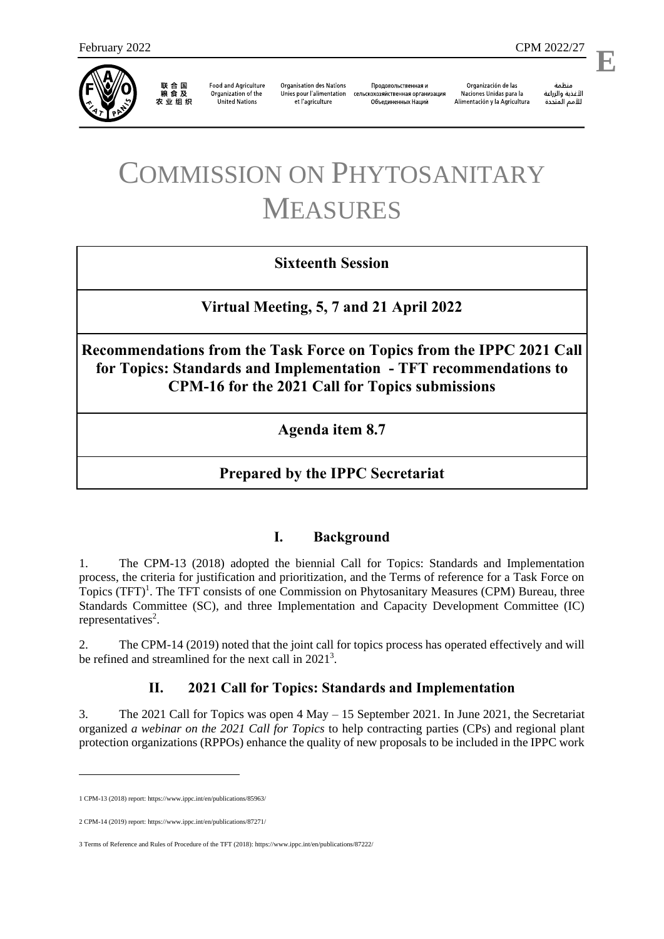

联合国<br>粮食及 农业组织

**Food and Agriculture** Organization of the **United Nations** 

**Organisation des Nations** Unies pour l'alimentation et l'agriculture

Продовольственная и сельскохозяйственная организация Объелиненных Наций

Organización de las Naciones Unidas para la Alimentación y la Agricultura

منظمة الأغذية والزراعة للأمم المتحدة

l,

# COMMISSION ON PHYTOSANITARY MEASURES

# **Sixteenth Session**

**Virtual Meeting, 5, 7 and 21 April 2022**

**Recommendations from the Task Force on Topics from the IPPC 2021 Call for Topics: Standards and Implementation - TFT recommendations to CPM-16 for the 2021 Call for Topics submissions**

**Agenda item 8.7**

# **Prepared by the IPPC Secretariat**

## **I. Background**

1. The CPM-13 (2018) adopted the biennial Call for Topics: Standards and Implementation process, the criteria for justification and prioritization, and the Terms of reference for a Task Force on Topics (TFT)<sup>1</sup>. The TFT consists of one Commission on Phytosanitary Measures (CPM) Bureau, three Standards Committee (SC), and three Implementation and Capacity Development Committee (IC) representatives<sup>2</sup>.

2. The CPM-14 (2019) noted that the joint call for topics process has operated effectively and will be refined and streamlined for the next call in  $2021<sup>3</sup>$ .

## **II. 2021 Call for Topics: Standards and Implementation**

3. The 2021 Call for Topics was open 4 May – 15 September 2021. In June 2021, the Secretariat organized *a webinar on the 2021 Call for Topics* to help contracting parties (CPs) and regional plant protection organizations (RPPOs) enhance the quality of new proposals to be included in the IPPC work

1

<sup>1</sup> CPM-13 (2018) report[: https://www.ippc.int/en/publications/85963/](https://www.ippc.int/en/publications/85963/)

<sup>2</sup> CPM-14 (2019) report[: https://www.ippc.int/en/publications/87271/](https://www.ippc.int/en/publications/87271/)

<sup>3</sup> Terms of Reference and Rules of Procedure of the TFT (2018)[: https://www.ippc.int/en/publications/87222/](https://www.ippc.int/en/publications/87222/)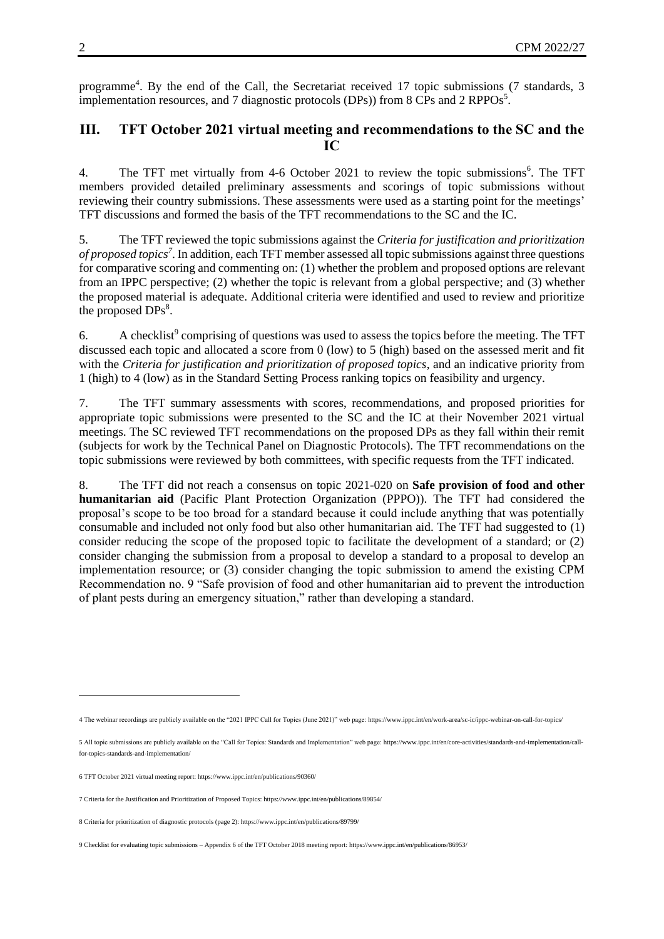programme<sup>4</sup>. By the end of the Call, the Secretariat received 17 topic submissions (7 standards, 3 implementation resources, and 7 diagnostic protocols (DPs)) from 8 CPs and 2 RPPOs<sup>5</sup>.

#### **III. TFT October 2021 virtual meeting and recommendations to the SC and the IC**

4. The TFT met virtually from 4-6 October 2021 to review the topic submissions<sup>6</sup>. The TFT members provided detailed preliminary assessments and scorings of topic submissions without reviewing their country submissions. These assessments were used as a starting point for the meetings' TFT discussions and formed the basis of the TFT recommendations to the SC and the IC.

5. The TFT reviewed the topic submissions against the *Criteria for justification and prioritization of proposed topics<sup>7</sup>* . In addition, each TFT member assessed all topic submissions against three questions for comparative scoring and commenting on: (1) whether the problem and proposed options are relevant from an IPPC perspective; (2) whether the topic is relevant from a global perspective; and (3) whether the proposed material is adequate. Additional criteria were identified and used to review and prioritize the proposed  $DPs<sup>8</sup>$ .

6. A checklist<sup>9</sup> comprising of questions was used to assess the topics before the meeting. The TFT discussed each topic and allocated a score from 0 (low) to 5 (high) based on the assessed merit and fit with the *Criteria for justification and prioritization of proposed topics*, and an indicative priority from 1 (high) to 4 (low) as in the Standard Setting Process ranking topics on feasibility and urgency.

7. The TFT summary assessments with scores, recommendations, and proposed priorities for appropriate topic submissions were presented to the SC and the IC at their November 2021 virtual meetings. The SC reviewed TFT recommendations on the proposed DPs as they fall within their remit (subjects for work by the Technical Panel on Diagnostic Protocols). The TFT recommendations on the topic submissions were reviewed by both committees, with specific requests from the TFT indicated.

8. The TFT did not reach a consensus on topic 2021-020 on **Safe provision of food and other humanitarian aid** (Pacific Plant Protection Organization (PPPO)). The TFT had considered the proposal's scope to be too broad for a standard because it could include anything that was potentially consumable and included not only food but also other humanitarian aid. The TFT had suggested to (1) consider reducing the scope of the proposed topic to facilitate the development of a standard; or (2) consider changing the submission from a proposal to develop a standard to a proposal to develop an implementation resource; or (3) consider changing the topic submission to amend the existing CPM Recommendation no. 9 "Safe provision of food and other humanitarian aid to prevent the introduction of plant pests during an emergency situation," rather than developing a standard.

-

<sup>4</sup> The webinar recordings are publicly available on the "2021 IPPC Call for Topics (June 2021)" web page[: https://www.ippc.int/en/work-area/sc-ic/ippc-webinar-on-call-for-topics/](https://www.ippc.int/en/work-area/sc-ic/ippc-webinar-on-call-for-topics/)

<sup>5</sup> All topic submissions are publicly available on the "Call for Topics: Standards and Implementation" web page[: https://www.ippc.int/en/core-activities/standards-and-implementation/call](https://www.ippc.int/en/core-activities/standards-and-implementation/call-for-topics-standards-and-implementation/)[for-topics-standards-and-implementation/](https://www.ippc.int/en/core-activities/standards-and-implementation/call-for-topics-standards-and-implementation/)

<sup>6</sup> TFT October 2021 virtual meeting report[: https://www.ippc.int/en/publications/90360/](https://www.ippc.int/en/publications/90360/)

<sup>7</sup> Criteria for the Justification and Prioritization of Proposed Topics[: https://www.ippc.int/en/publications/89854/](https://www.ippc.int/en/publications/89854/)

<sup>8</sup> Criteria for prioritization of diagnostic protocols (page 2)[: https://www.ippc.int/en/publications/89799/](https://www.ippc.int/en/publications/89799/)

<sup>9</sup> Checklist for evaluating topic submissions – Appendix 6 of the TFT October 2018 meeting report[: https://www.ippc.int/en/publications/86953/](https://www.ippc.int/en/publications/86953/)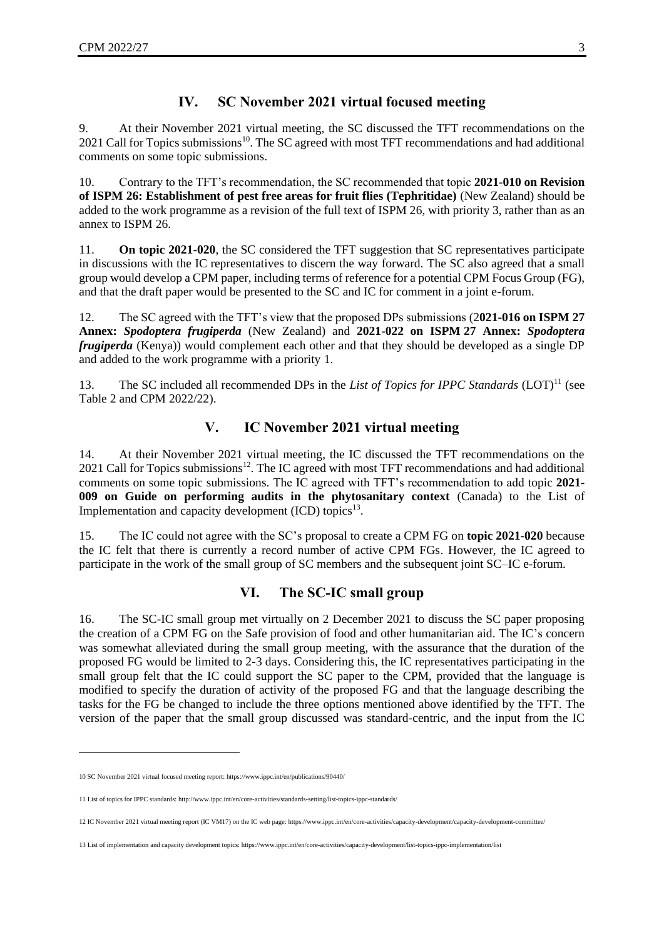# **IV. SC November 2021 virtual focused meeting**

9. At their November 2021 virtual meeting, the SC discussed the TFT recommendations on the  $2021$  Call for Topics submissions<sup>10</sup>. The SC agreed with most TFT recommendations and had additional comments on some topic submissions.

10. Contrary to the TFT's recommendation, the SC recommended that topic **2021-010 on Revision of ISPM 26: Establishment of pest free areas for fruit flies (Tephritidae)** (New Zealand) should be added to the work programme as a revision of the full text of ISPM 26, with priority 3, rather than as an annex to ISPM 26.

11. **On topic 2021-020**, the SC considered the TFT suggestion that SC representatives participate in discussions with the IC representatives to discern the way forward. The SC also agreed that a small group would develop a CPM paper, including terms of reference for a potential CPM Focus Group (FG), and that the draft paper would be presented to the SC and IC for comment in a joint e-forum.

12. The SC agreed with the TFT's view that the proposed DPs submissions (2**021-016 on ISPM 27 Annex:** *Spodoptera frugiperda* (New Zealand) and **2021-022 on ISPM 27 Annex:** *Spodoptera frugiperda* (Kenya)) would complement each other and that they should be developed as a single DP and added to the work programme with a priority 1.

13. The SC included all recommended DPs in the *List of Topics for IPPC Standards* (LOT)<sup>11</sup> (see Table 2 and CPM 2022/22).

# **V. IC November 2021 virtual meeting**

14. At their November 2021 virtual meeting, the IC discussed the TFT recommendations on the  $2021$  Call for Topics submissions<sup>12</sup>. The IC agreed with most TFT recommendations and had additional comments on some topic submissions. The IC agreed with TFT's recommendation to add topic **2021- 009 on Guide on performing audits in the phytosanitary context** (Canada) to the List of Implementation and capacity development  $(ICD)$  topics<sup>13</sup>.

15. The IC could not agree with the SC's proposal to create a CPM FG on **topic 2021-020** because the IC felt that there is currently a record number of active CPM FGs. However, the IC agreed to participate in the work of the small group of SC members and the subsequent joint SC–IC e-forum.

## **VI. The SC-IC small group**

16. The SC-IC small group met virtually on 2 December 2021 to discuss the SC paper proposing the creation of a CPM FG on the Safe provision of food and other humanitarian aid. The IC's concern was somewhat alleviated during the small group meeting, with the assurance that the duration of the proposed FG would be limited to 2-3 days. Considering this, the IC representatives participating in the small group felt that the IC could support the SC paper to the CPM, provided that the language is modified to specify the duration of activity of the proposed FG and that the language describing the tasks for the FG be changed to include the three options mentioned above identified by the TFT. The version of the paper that the small group discussed was standard-centric, and the input from the IC

1

<sup>10</sup> SC November 2021 virtual focused meeting report[: https://www.ippc.int/en/publications/90440/](https://www.ippc.int/en/publications/90440/)

<sup>11</sup> List of topics for IPPC standards[: http://www.ippc.int/en/core-activities/standards-setting/list-topics-ippc-standards/](http://www.ippc.int/en/core-activities/standards-setting/list-topics-ippc-standards/)

<sup>12</sup> IC November 2021 virtual meeting report (IC VM17) on the IC web page: <https://www.ippc.int/en/core-activities/capacity-development/capacity-development-committee/>

<sup>13</sup> List of implementation and capacity development topics[: https://www.ippc.int/en/core-activities/capacity-development/list-topics-ippc-implementation/list](https://www.ippc.int/en/core-activities/capacity-development/list-topics-ippc-implementation/list)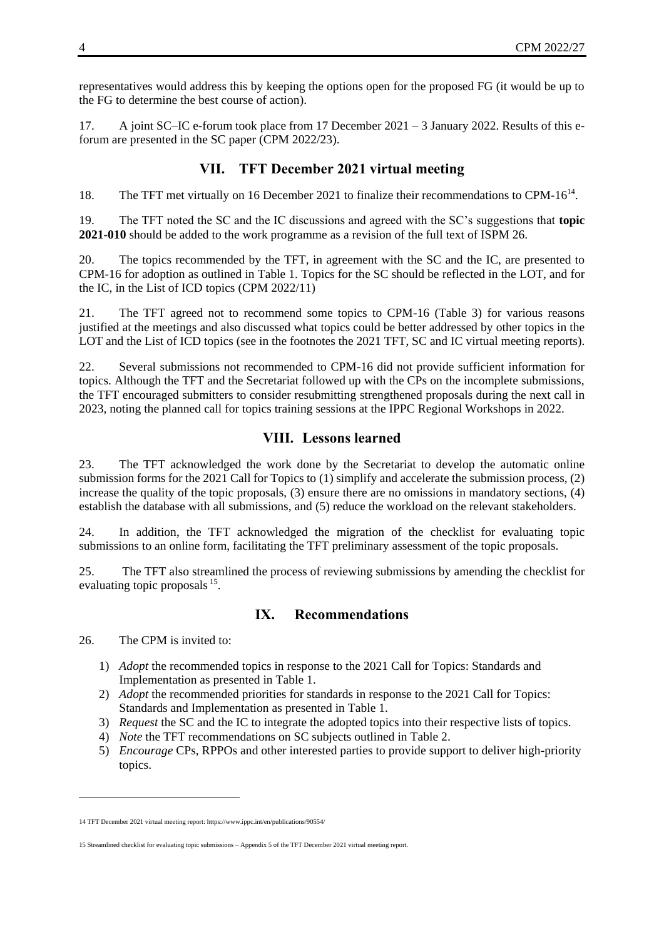representatives would address this by keeping the options open for the proposed FG (it would be up to the FG to determine the best course of action).

17. A joint SC–IC e-forum took place from 17 December 2021 – 3 January 2022. Results of this eforum are presented in the SC paper (CPM 2022/23).

# **VII. TFT December 2021 virtual meeting**

18. The TFT met virtually on 16 December 2021 to finalize their recommendations to CPM-16<sup>14</sup>.

19. The TFT noted the SC and the IC discussions and agreed with the SC's suggestions that **topic 2021-010** should be added to the work programme as a revision of the full text of ISPM 26.

20. The topics recommended by the TFT, in agreement with the SC and the IC, are presented to CPM-16 for adoption as outlined in Table 1. Topics for the SC should be reflected in the LOT, and for the IC, in the List of ICD topics (CPM 2022/11)

21. The TFT agreed not to recommend some topics to CPM-16 (Table 3) for various reasons justified at the meetings and also discussed what topics could be better addressed by other topics in the LOT and the List of ICD topics (see in the footnotes the 2021 TFT, SC and IC virtual meeting reports).

22. Several submissions not recommended to CPM-16 did not provide sufficient information for topics. Although the TFT and the Secretariat followed up with the CPs on the incomplete submissions, the TFT encouraged submitters to consider resubmitting strengthened proposals during the next call in 2023, noting the planned call for topics training sessions at the IPPC Regional Workshops in 2022.

## **VIII. Lessons learned**

23. The TFT acknowledged the work done by the Secretariat to develop the automatic online submission forms for the 2021 Call for Topics to (1) simplify and accelerate the submission process, (2) increase the quality of the topic proposals, (3) ensure there are no omissions in mandatory sections, (4) establish the database with all submissions, and (5) reduce the workload on the relevant stakeholders.

24. In addition, the TFT acknowledged the migration of the checklist for evaluating topic submissions to an online form, facilitating the TFT preliminary assessment of the topic proposals.

25. The TFT also streamlined the process of reviewing submissions by amending the checklist for evaluating topic proposals <sup>15</sup>.

## **IX. Recommendations**

26. The CPM is invited to:

1

- 1) *Adopt* the recommended topics in response to the 2021 Call for Topics: Standards and Implementation as presented in Table 1.
- 2) *Adopt* the recommended priorities for standards in response to the 2021 Call for Topics: Standards and Implementation as presented in Table 1.
- 3) *Request* the SC and the IC to integrate the adopted topics into their respective lists of topics.
- 4) *Note* the TFT recommendations on SC subjects outlined in Table 2.
- 5) *Encourage* CPs, RPPOs and other interested parties to provide support to deliver high-priority topics.

<sup>14</sup> TFT December 2021 virtual meeting report[: https://www.ippc.int/en/publications/90554/](https://www.ippc.int/en/publications/90554/)

<sup>15</sup> Streamlined checklist for evaluating topic submissions – Appendix 5 of the TFT December 2021 virtual meeting report.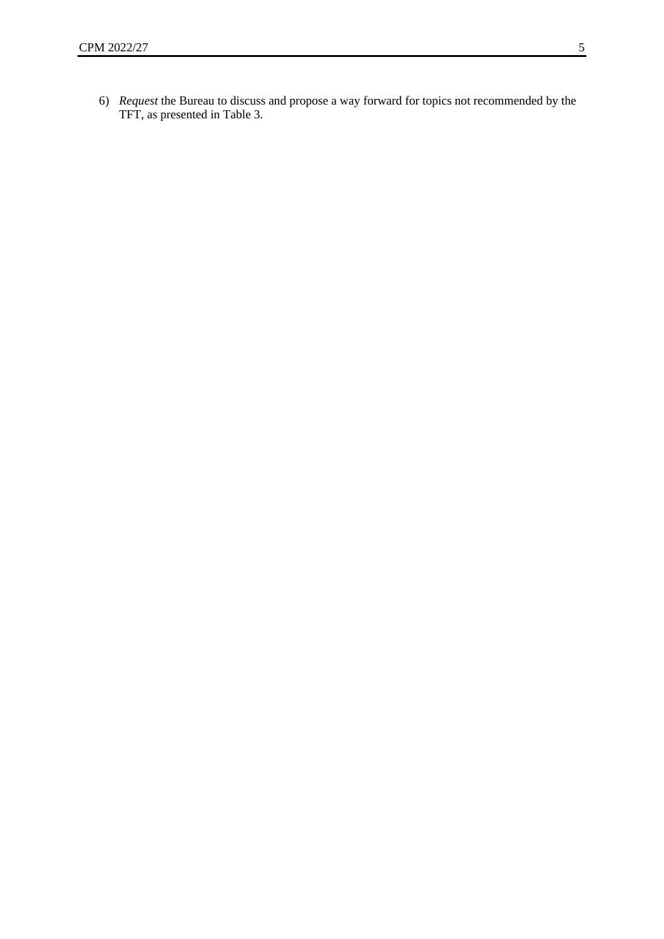6) *Request* the Bureau to discuss and propose a way forward for topics not recommended by the TFT, as presented in Table 3.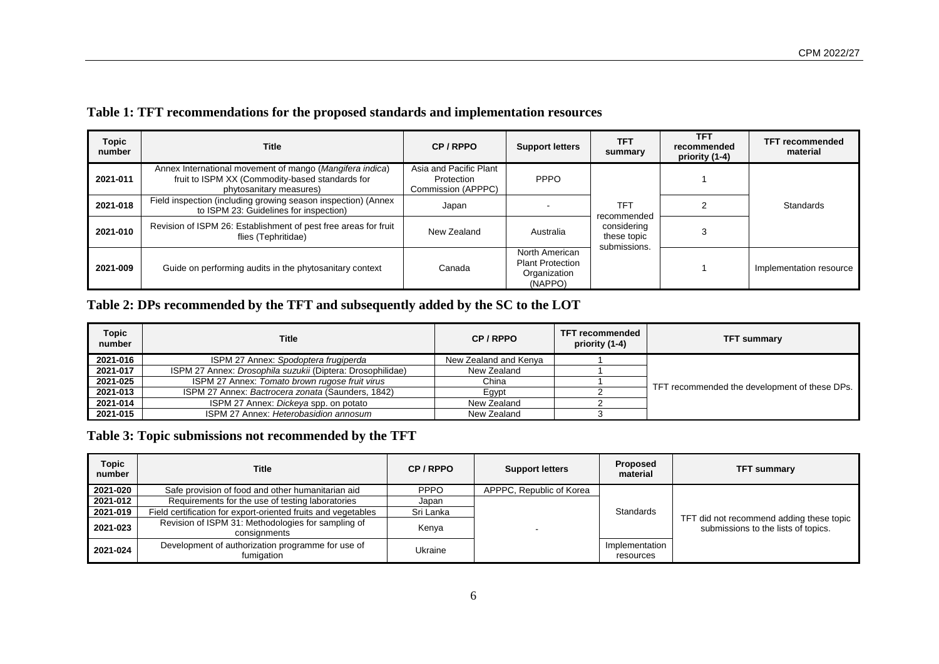|  |  | Table 1: TFT recommendations for the proposed standards and implementation resources |
|--|--|--------------------------------------------------------------------------------------|
|  |  |                                                                                      |

| Topic<br>number | Title                                                                                                                                  | CP/RPPO                                                    | <b>Support letters</b>                                               | TFT<br>summary                             | <b>TFT</b><br>recommended<br>priority (1-4) | <b>TFT recommended</b><br>material |
|-----------------|----------------------------------------------------------------------------------------------------------------------------------------|------------------------------------------------------------|----------------------------------------------------------------------|--------------------------------------------|---------------------------------------------|------------------------------------|
| 2021-011        | Annex International movement of mango (Mangifera indica)<br>fruit to ISPM XX (Commodity-based standards for<br>phytosanitary measures) | Asia and Pacific Plant<br>Protection<br>Commission (APPPC) | <b>PPPO</b>                                                          | TFT<br>recommended                         |                                             | Standards                          |
| 2021-018        | Field inspection (including growing season inspection) (Annex<br>to ISPM 23: Guidelines for inspection)                                | Japan                                                      |                                                                      |                                            |                                             |                                    |
| 2021-010        | Revision of ISPM 26: Establishment of pest free areas for fruit<br>flies (Tephritidae)                                                 | New Zealand                                                | Australia                                                            | considering<br>these topic<br>submissions. |                                             |                                    |
| 2021-009        | Guide on performing audits in the phytosanitary context                                                                                | Canada                                                     | North American<br><b>Plant Protection</b><br>Organization<br>(NAPPO) |                                            |                                             | Implementation resource            |

# **Table 2: DPs recommended by the TFT and subsequently added by the SC to the LOT**

| <b>Topic</b><br>number | <b>Title</b>                                               | CP/RPPO               | TFT recommended<br>priority (1-4) | <b>TFT summary</b>                            |  |
|------------------------|------------------------------------------------------------|-----------------------|-----------------------------------|-----------------------------------------------|--|
| 2021-016               | ISPM 27 Annex: Spodoptera frugiperda                       | New Zealand and Kenya |                                   |                                               |  |
| 2021-017               | ISPM 27 Annex: Drosophila suzukii (Diptera: Drosophilidae) | New Zealand           |                                   |                                               |  |
| 2021-025               | ISPM 27 Annex: Tomato brown rugose fruit virus             | China                 |                                   | TFT recommended the development of these DPs. |  |
| 2021-013               | ISPM 27 Annex: Bactrocera zonata (Saunders, 1842)          | Egypt                 |                                   |                                               |  |
| 2021-014               | ISPM 27 Annex: Dickeya spp. on potato                      | New Zealand           |                                   |                                               |  |
| 2021-015               | ISPM 27 Annex: Heterobasidion annosum                      | New Zealand           |                                   |                                               |  |

**Table 3: Topic submissions not recommended by the TFT**

| <b>Topic</b><br>number | Title                                                              | CP/RPPO     | <b>Support letters</b>   | Proposed<br>material        | <b>TFT summary</b>                                                              |
|------------------------|--------------------------------------------------------------------|-------------|--------------------------|-----------------------------|---------------------------------------------------------------------------------|
| 2021-020               | Safe provision of food and other humanitarian aid                  | <b>PPPO</b> | APPPC, Republic of Korea |                             |                                                                                 |
| 2021-012               | Requirements for the use of testing laboratories                   | Japan       |                          |                             |                                                                                 |
| 2021-019               | Field certification for export-oriented fruits and vegetables      | Sri Lanka   |                          | Standards                   | TFT did not recommend adding these topic<br>submissions to the lists of topics. |
| 2021-023               | Revision of ISPM 31: Methodologies for sampling of<br>consignments | Kenya       | . .                      |                             |                                                                                 |
| 2021-024               | Development of authorization programme for use of<br>fumigation    | Ukraine     |                          | Implementation<br>resources |                                                                                 |